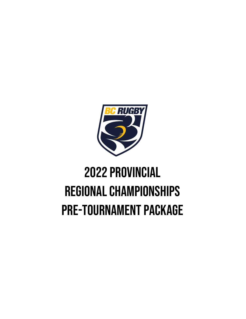

# 2022 Provincial Regional Championships Pre-Tournament Package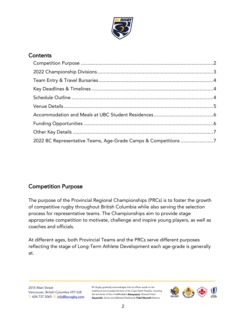

# **Contents**

| 2022 BC Representative Teams, Age-Grade Camps & Competitions 7 |  |
|----------------------------------------------------------------|--|

# <span id="page-1-0"></span>Competition Purpose

The purpose of the Provincial Regional Championships (PRCs) is to foster the growth of competitive rugby throughout British Columbia while also serving the selection process for representative teams. The Championships aim to provide stage appropriate competition to motivate, challenge and inspire young players, as well as coaches and officials.

At different ages, both Provincial Teams and the PRCs serve different purposes reflecting the stage of Long-Term Athlete Development each age-grade is generally at.

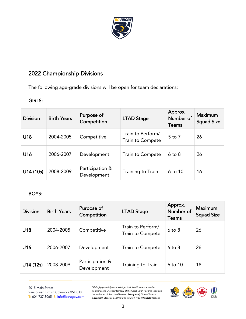

# <span id="page-2-0"></span>2022 Championship Divisions

The following age-grade divisions will be open for team declarations:

### GIRLS:

| <b>Division</b> | <b>Birth Years</b> | Purpose of<br>Competition      | <b>LTAD Stage</b>                     | Approx.<br>Number of<br><b>Teams</b> | <b>Maximum</b><br><b>Squad Size</b> |
|-----------------|--------------------|--------------------------------|---------------------------------------|--------------------------------------|-------------------------------------|
| U18             | 2004-2005          | Competitive                    | Train to Perform/<br>Train to Compete | $5$ to $7$                           | 26                                  |
| U16             | 2006-2007          | Development                    | Train to Compete                      | $6$ to $8$                           | 26                                  |
| U14 (10s)       | 2008-2009          | Participation &<br>Development | Training to Train                     | $6$ to $10$                          | 16                                  |

## BOYS:

| <b>Division</b> | <b>Birth Years</b> | Purpose of<br>Competition      | <b>LTAD Stage</b>                     | Approx.<br>Number of<br><b>Teams</b> | <b>Maximum</b><br><b>Squad Size</b> |
|-----------------|--------------------|--------------------------------|---------------------------------------|--------------------------------------|-------------------------------------|
| U18             | 2004-2005          | Competitive                    | Train to Perform/<br>Train to Compete | $6$ to $8$                           | 26                                  |
| U16             | 2006-2007          | Development                    | Train to Compete                      | $6$ to $8$                           | 26                                  |
| U14(12s)        | 2008-2009          | Participation &<br>Development | Training to Train                     | $6$ to 10                            | 18                                  |

2015 Main Street Vancouver, British Columbia V5T 0J8 T: 604.737.3065 E: [info@bcrugby.com](mailto:info@bcrugby.com)

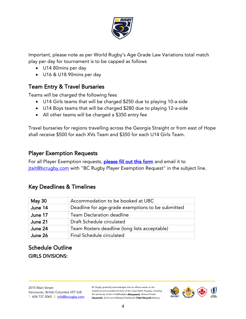

Important, please note as per World Rugby's Age Grade Law Variations total match play per day for tournament is to be capped as follows

- U14 80mins per day
- U16 & U18 90mins per day

## <span id="page-3-0"></span>Team Entry & Travel Bursaries

Teams will be charged the following fees

- U14 Girls teams that will be charged \$250 due to playing 10-a-side
- U14 Boys teams that will be charged \$280 due to playing 12-a-side
- All other teams will be charged a \$350 entry fee

Travel bursaries for regions travelling across the Georgia Straight or from east of Hope shall receive \$500 for each XVs Team and \$350 for each U14 Girls Team.

## Player Exemption Requests

For all Player Exemption requests, [please fill out this form](https://bcrugby.com/wp-content/uploads/2021/10/BC-Rugby-Player-Exemption-Form.pdf) and email it to itait@bcrugby.com with "BC Rugby Player Exemption Request" in the subject line.

## <span id="page-3-1"></span>Key Deadlines & Timelines

| <b>May 30</b> | Accommodation to be booked at UBC                 |
|---------------|---------------------------------------------------|
| June 14       | Deadline for age-grade exemptions to be submitted |
| June 17       | <b>Team Declaration deadline</b>                  |
| June 21       | Draft Schedule circulated                         |
| June 24       | Team Rosters deadline (long lists acceptable)     |
| June 26       | Final Schedule circulated                         |

# <span id="page-3-2"></span>Schedule Outline GIRLS DIVISIONS:

2015 Main Street Vancouver, British Columbia V5T 0J8 T: 604.737.3065 E: [info@bcrugby.com](mailto:info@bcrugby.com)

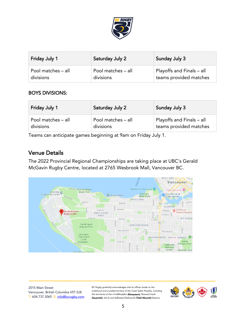

| <b>Friday July 1</b> | Saturday July 2    | Sunday July 3             |
|----------------------|--------------------|---------------------------|
| Pool matches - all   | Pool matches - all | Playoffs and Finals - all |
| divisions            | divisions          | teams provided matches    |

#### BOYS DIVISIONS:

| <b>Friday July 1</b> | Saturday July 2    | <b>Sunday July 3</b>      |
|----------------------|--------------------|---------------------------|
| Pool matches - all   | Pool matches - all | Playoffs and Finals - all |
| divisions            | divisions          | teams provided matches    |

Teams can anticipate games beginning at 9am on Friday July 1.

## <span id="page-4-0"></span>Venue Details

The 2022 Provincial Regional Championships are taking place at UBC's Gerald McGavin Rugby Centre, located at 2765 Wesbrook Mall, Vancouver BC.



2015 Main Street Vancouver, British Columbia V5T 0J8 T: 604.737.3065 E: [info@bcrugby.com](mailto:info@bcrugby.com)

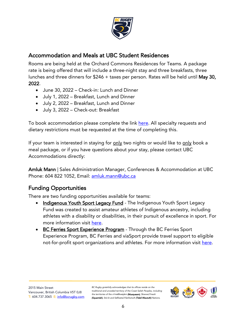

# <span id="page-5-0"></span>Accommodation and Meals at UBC Student Residences

Rooms are being held at the Orchard Commons Residences for Teams. A package rate is being offered that will include a three-night stay and three breakfasts, three lunches and three dinners for \$246 + taxes per person. Rates will be held until May 30, 2022.

- June 30, 2022 Check-in: Lunch and Dinner
- July 1, 2022 Breakfast, Lunch and Dinner
- July 2, 2022 Breakfast, Lunch and Dinner
- July 3, 2022 Check-out: Breakfast

To book accommodation please complete the link [here.](https://booking.ubcconferences.com/event/prc2022/) All specialty requests and dietary restrictions must be requested at the time of completing this.

If your team is interested in staying for only two nights or would like to only book a meal package, or if you have questions about your stay, please contact UBC Accommodations directly:

Amluk Mann | Sales Administration Manager, Conferences & Accommodation at UBC Phone: 604 822 1052, Email: [amluk.mann@ubc.ca](mailto:amluk.mann@ubc.ca)

# <span id="page-5-1"></span>Funding Opportunities

There are two funding opportunities available for teams:

- Indigenous Youth Sport Legacy Fund The Indigenous Youth Sport Legacy Fund was created to assist amateur athletes of Indigenous ancestry, including athletes with a disability or disabilities, in their pursuit of excellence in sport. For more information visit [here.](https://www.viasport.ca/grant/Indigenous-youth-sport-legacy-fund)
- BC Ferries Sport Experience Program Through the BC Ferries Sport Experience Program, BC Ferries and viaSport provide travel support to eligible not-for-profit sport organizations and athletes. For more information visit [here.](https://www.viasport.ca/grant/bc-ferries-sport-experience-program)

2015 Main Street Vancouver, British Columbia V5T 0J8 T: 604.737.3065 E: [info@bcrugby.com](mailto:info@bcrugby.com)

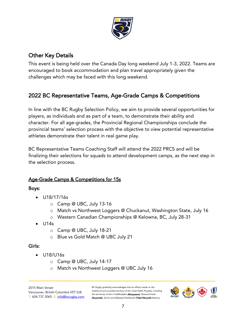

# <span id="page-6-0"></span>Other Key Details

This event is being held over the Canada Day long weekend July 1-3, 2022. Teams are encouraged to book accommodation and plan travel appropriately given the challenges which may be faced with this long weekend.

# <span id="page-6-1"></span>2022 BC Representative Teams, Age-Grade Camps & Competitions

In line with the BC Rugby Selection Policy, we aim to provide several opportunities for players, as individuals and as part of a team, to demonstrate their ability and character. For all age-grades, the Provincial Regional Championships conclude the provincial teams' selection process with the objective to view potential representative athletes demonstrate their talent in real game play.

BC Representative Teams Coaching Staff will attend the 2022 PRCS and will be finalizing their selections for squads to attend development camps, as the next step in the selection process.

## Age-Grade Camps & Competitions for 15s

#### Boys:

- U18/17/16s
	- o Camp @ UBC, July 13-16
	- o Match vs Northwest Loggers @ Chuckanut, Washington State, July 16
	- o Western Canadian Championships @ Kelowna, BC, July 28-31
- $\bullet$  U14s
	- o Camp @ UBC, July 18-21
	- o Blue vs Gold Match @ UBC July 21

#### Girls:

- U18/U16s
	- o Camp @ UBC, July 14-17
	- o Match vs Northwest Loggers @ UBC July 16

2015 Main Street Vancouver, British Columbia V5T 0J8 T: 604.737.3065 E: [info@bcrugby.com](mailto:info@bcrugby.com)